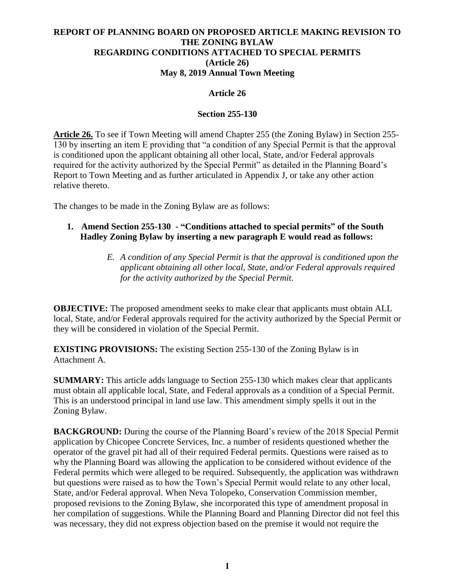### **REPORT OF PLANNING BOARD ON PROPOSED ARTICLE MAKING REVISION TO THE ZONING BYLAW REGARDING CONDITIONS ATTACHED TO SPECIAL PERMITS (Article 26) May 8, 2019 Annual Town Meeting**

#### **Article 26**

#### **Section 255-130**

**Article 26.** To see if Town Meeting will amend Chapter 255 (the Zoning Bylaw) in Section 255- 130 by inserting an item E providing that "a condition of any Special Permit is that the approval is conditioned upon the applicant obtaining all other local, State, and/or Federal approvals required for the activity authorized by the Special Permit" as detailed in the Planning Board's Report to Town Meeting and as further articulated in Appendix J, or take any other action relative thereto.

The changes to be made in the Zoning Bylaw are as follows:

## **1. Amend Section 255-130 - "Conditions attached to special permits" of the South Hadley Zoning Bylaw by inserting a new paragraph E would read as follows:**

*E. A condition of any Special Permit is that the approval is conditioned upon the applicant obtaining all other local, State, and/or Federal approvals required for the activity authorized by the Special Permit.*

**OBJECTIVE:** The proposed amendment seeks to make clear that applicants must obtain ALL local, State, and/or Federal approvals required for the activity authorized by the Special Permit or they will be considered in violation of the Special Permit.

**EXISTING PROVISIONS:** The existing Section 255-130 of the Zoning Bylaw is in Attachment A.

**SUMMARY:** This article adds language to Section 255-130 which makes clear that applicants must obtain all applicable local, State, and Federal approvals as a condition of a Special Permit. This is an understood principal in land use law. This amendment simply spells it out in the Zoning Bylaw.

**BACKGROUND:** During the course of the Planning Board's review of the 2018 Special Permit application by Chicopee Concrete Services, Inc. a number of residents questioned whether the operator of the gravel pit had all of their required Federal permits. Questions were raised as to why the Planning Board was allowing the application to be considered without evidence of the Federal permits which were alleged to be required. Subsequently, the application was withdrawn but questions were raised as to how the Town's Special Permit would relate to any other local, State, and/or Federal approval. When Neva Tolopeko, Conservation Commission member, proposed revisions to the Zoning Bylaw, she incorporated this type of amendment proposal in her compilation of suggestions. While the Planning Board and Planning Director did not feel this was necessary, they did not express objection based on the premise it would not require the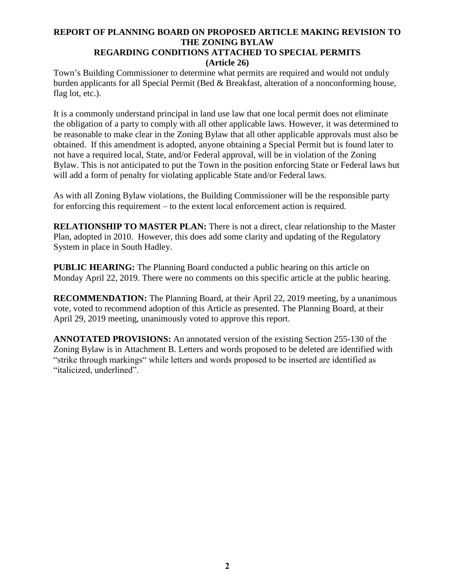# **REPORT OF PLANNING BOARD ON PROPOSED ARTICLE MAKING REVISION TO THE ZONING BYLAW REGARDING CONDITIONS ATTACHED TO SPECIAL PERMITS**

#### **(Article 26)**

Town's Building Commissioner to determine what permits are required and would not unduly burden applicants for all Special Permit (Bed & Breakfast, alteration of a nonconforming house, flag lot, etc.).

It is a commonly understand principal in land use law that one local permit does not eliminate the obligation of a party to comply with all other applicable laws. However, it was determined to be reasonable to make clear in the Zoning Bylaw that all other applicable approvals must also be obtained. If this amendment is adopted, anyone obtaining a Special Permit but is found later to not have a required local, State, and/or Federal approval, will be in violation of the Zoning Bylaw. This is not anticipated to put the Town in the position enforcing State or Federal laws but will add a form of penalty for violating applicable State and/or Federal laws.

As with all Zoning Bylaw violations, the Building Commissioner will be the responsible party for enforcing this requirement – to the extent local enforcement action is required.

**RELATIONSHIP TO MASTER PLAN:** There is not a direct, clear relationship to the Master Plan, adopted in 2010. However, this does add some clarity and updating of the Regulatory System in place in South Hadley.

**PUBLIC HEARING:** The Planning Board conducted a public hearing on this article on Monday April 22, 2019. There were no comments on this specific article at the public hearing.

**RECOMMENDATION:** The Planning Board, at their April 22, 2019 meeting, by a unanimous vote, voted to recommend adoption of this Article as presented. The Planning Board, at their April 29, 2019 meeting, unanimously voted to approve this report.

**ANNOTATED PROVISIONS:** An annotated version of the existing Section 255-130 of the Zoning Bylaw is in Attachment B. Letters and words proposed to be deleted are identified with "strike through markings" while letters and words proposed to be inserted are identified as "italicized, underlined".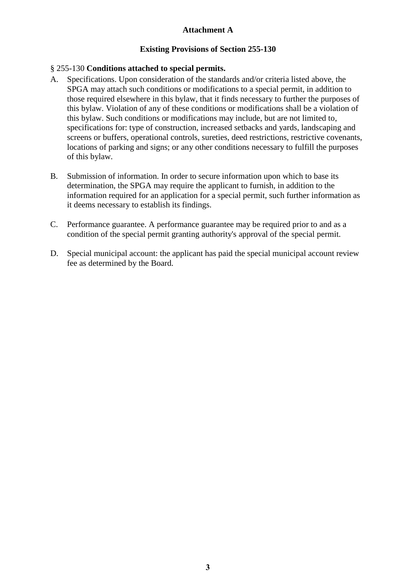# **Attachment A**

## **Existing Provisions of Section 255-130**

### § 255-130 **Conditions attached to special permits.**

- A. Specifications. Upon consideration of the standards and/or criteria listed above, the SPGA may attach such conditions or modifications to a special permit, in addition to those required elsewhere in this bylaw, that it finds necessary to further the purposes of this bylaw. Violation of any of these conditions or modifications shall be a violation of this bylaw. Such conditions or modifications may include, but are not limited to, specifications for: type of construction, increased setbacks and yards, landscaping and screens or buffers, operational controls, sureties, deed restrictions, restrictive covenants, locations of parking and signs; or any other conditions necessary to fulfill the purposes of this bylaw.
- B. Submission of information. In order to secure information upon which to base its determination, the SPGA may require the applicant to furnish, in addition to the information required for an application for a special permit, such further information as it deems necessary to establish its findings.
- C. Performance guarantee. A performance guarantee may be required prior to and as a condition of the special permit granting authority's approval of the special permit.
- D. Special municipal account: the applicant has paid the special municipal account review fee as determined by the Board.